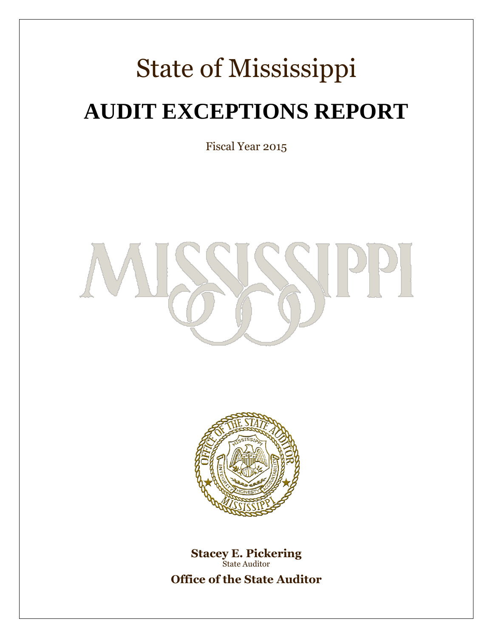# State of Mississippi **AUDIT EXCEPTIONS REPORT**

Fiscal Year 2015





**Stacey E. Pickering** State Auditor

**Office of the State Auditor**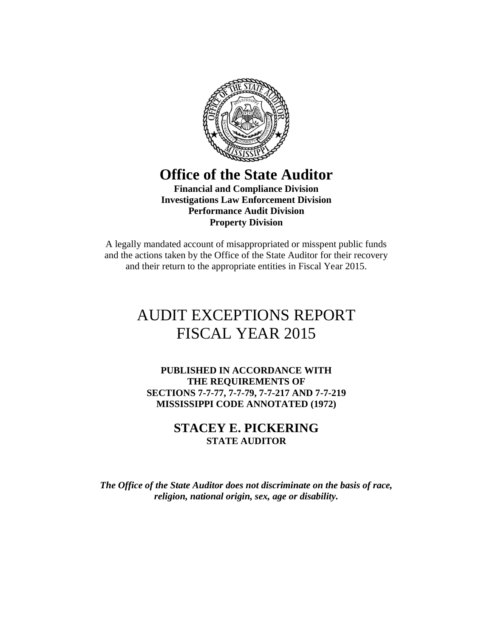

### **Office of the State Auditor Financial and Compliance Division Investigations Law Enforcement Division Performance Audit Division Property Division**

A legally mandated account of misappropriated or misspent public funds and the actions taken by the Office of the State Auditor for their recovery and their return to the appropriate entities in Fiscal Year 2015.

## AUDIT EXCEPTIONS REPORT FISCAL YEAR 2015

**PUBLISHED IN ACCORDANCE WITH THE REQUIREMENTS OF SECTIONS 7-7-77, 7-7-79, 7-7-217 AND 7-7-219 MISSISSIPPI CODE ANNOTATED (1972)**

> **STACEY E. PICKERING STATE AUDITOR**

*The Office of the State Auditor does not discriminate on the basis of race, religion, national origin, sex, age or disability.*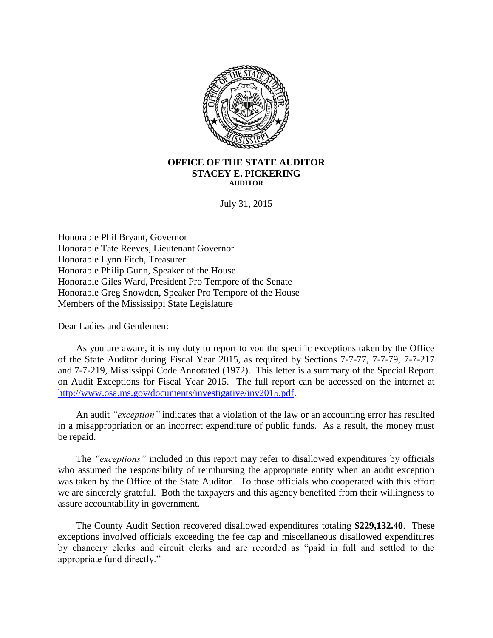

#### **OFFICE OF THE STATE AUDITOR STACEY E. PICKERING AUDITOR**

July 31, 2015

Honorable Phil Bryant, Governor Honorable Tate Reeves, Lieutenant Governor Honorable Lynn Fitch, Treasurer Honorable Philip Gunn, Speaker of the House Honorable Giles Ward, President Pro Tempore of the Senate Honorable Greg Snowden, Speaker Pro Tempore of the House Members of the Mississippi State Legislature

Dear Ladies and Gentlemen:

As you are aware, it is my duty to report to you the specific exceptions taken by the Office of the State Auditor during Fiscal Year 2015, as required by Sections 7-7-77, 7-7-79, 7-7-217 and 7-7-219, Mississippi Code Annotated (1972). This letter is a summary of the Special Report on Audit Exceptions for Fiscal Year 2015. The full report can be accessed on the internet at [http://www.osa.ms.gov/documents/investigative/inv2015.pdf.](http://www.osa.ms.gov/documents/investigative/inv2015.pdf)

An audit *"exception"* indicates that a violation of the law or an accounting error has resulted in a misappropriation or an incorrect expenditure of public funds. As a result, the money must be repaid.

The *"exceptions"* included in this report may refer to disallowed expenditures by officials who assumed the responsibility of reimbursing the appropriate entity when an audit exception was taken by the Office of the State Auditor. To those officials who cooperated with this effort we are sincerely grateful. Both the taxpayers and this agency benefited from their willingness to assure accountability in government.

The County Audit Section recovered disallowed expenditures totaling **\$229,132.40**. These exceptions involved officials exceeding the fee cap and miscellaneous disallowed expenditures by chancery clerks and circuit clerks and are recorded as "paid in full and settled to the appropriate fund directly."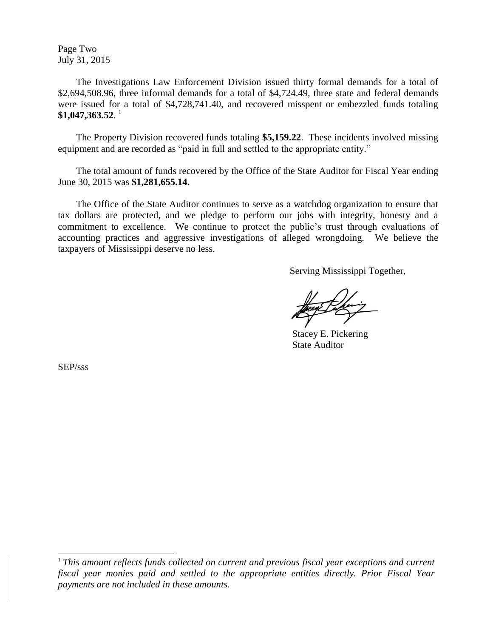Page Two July 31, 2015

The Investigations Law Enforcement Division issued thirty formal demands for a total of \$2,694,508.96, three informal demands for a total of \$4,724.49, three state and federal demands were issued for a total of \$4,728,741.40, and recovered misspent or embezzled funds totaling **\$1,047,363.52**. 1

The Property Division recovered funds totaling **\$5,159.22**. These incidents involved missing equipment and are recorded as "paid in full and settled to the appropriate entity."

The total amount of funds recovered by the Office of the State Auditor for Fiscal Year ending June 30, 2015 was **\$1,281,655.14.**

The Office of the State Auditor continues to serve as a watchdog organization to ensure that tax dollars are protected, and we pledge to perform our jobs with integrity, honesty and a commitment to excellence. We continue to protect the public's trust through evaluations of accounting practices and aggressive investigations of alleged wrongdoing. We believe the taxpayers of Mississippi deserve no less.

Serving Mississippi Together,

 Stacey E. Pickering State Auditor

SEP/sss

l

<sup>1</sup> *This amount reflects funds collected on current and previous fiscal year exceptions and current fiscal year monies paid and settled to the appropriate entities directly. Prior Fiscal Year payments are not included in these amounts.*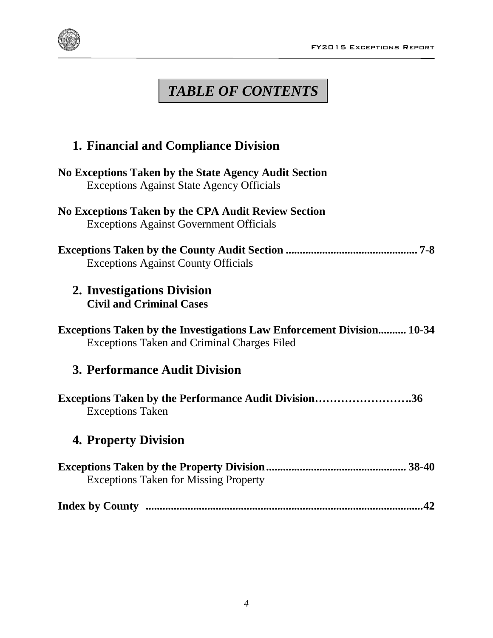

## *TABLE OF CONTENTS*

## **1. Financial and Compliance Division**

| No Exceptions Taken by the State Agency Audit Section<br><b>Exceptions Against State Agency Officials</b>                          |
|------------------------------------------------------------------------------------------------------------------------------------|
| No Exceptions Taken by the CPA Audit Review Section<br><b>Exceptions Against Government Officials</b>                              |
| <b>Exceptions Against County Officials</b>                                                                                         |
| 2. Investigations Division<br><b>Civil and Criminal Cases</b>                                                                      |
| <b>Exceptions Taken by the Investigations Law Enforcement Division 10-34</b><br><b>Exceptions Taken and Criminal Charges Filed</b> |
| 3. Performance Audit Division                                                                                                      |
| Exceptions Taken by the Performance Audit Division36<br><b>Exceptions Taken</b>                                                    |
| <b>4. Property Division</b>                                                                                                        |
| <b>Exceptions Taken for Missing Property</b>                                                                                       |
| 42                                                                                                                                 |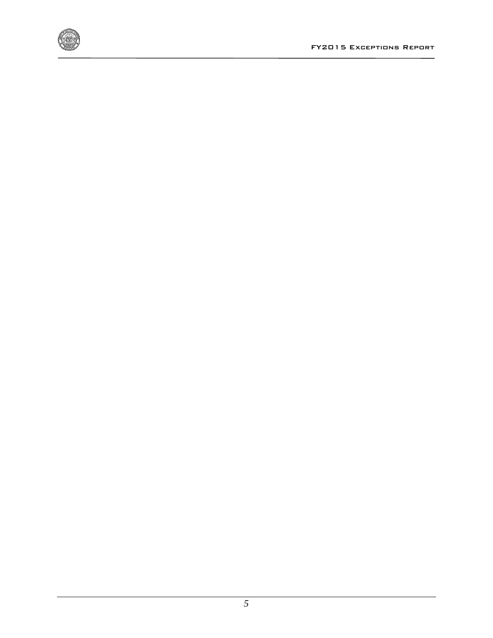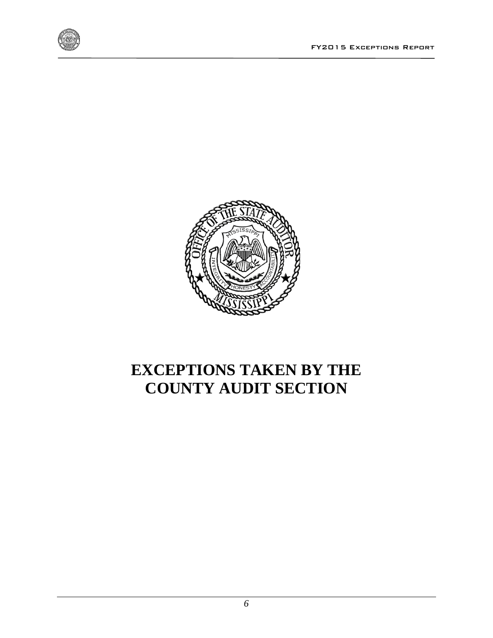



## **EXCEPTIONS TAKEN BY THE COUNTY AUDIT SECTION**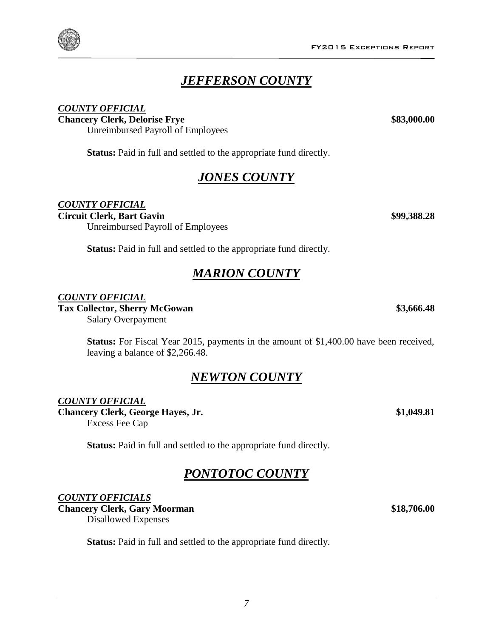## *JEFFERSON COUNTY*

### *COUNTY OFFICIAL*

**Chancery Clerk, Delorise Frye \$83,000.00** Unreimbursed Payroll of Employees

**Status:** Paid in full and settled to the appropriate fund directly.

## *JONES COUNTY*

#### *COUNTY OFFICIAL*

**Circuit Clerk, Bart Gavin \$99,388.28** Unreimbursed Payroll of Employees

**Status:** Paid in full and settled to the appropriate fund directly.

## *MARION COUNTY*

#### *COUNTY OFFICIAL*

**Tax Collector, Sherry McGowan \$3,666.48** Salary Overpayment

**Status:** For Fiscal Year 2015, payments in the amount of \$1,400.00 have been received, leaving a balance of \$2,266.48.

## *NEWTON COUNTY*

*COUNTY OFFICIAL* **Chancery Clerk, George Hayes, Jr. \$1,049.81** Excess Fee Cap

Status: Paid in full and settled to the appropriate fund directly.

## *PONTOTOC COUNTY*

*7*

#### *COUNTY OFFICIALS*

**Chancery Clerk, Gary Moorman \$18,706.00** Disallowed Expenses

**Status:** Paid in full and settled to the appropriate fund directly.

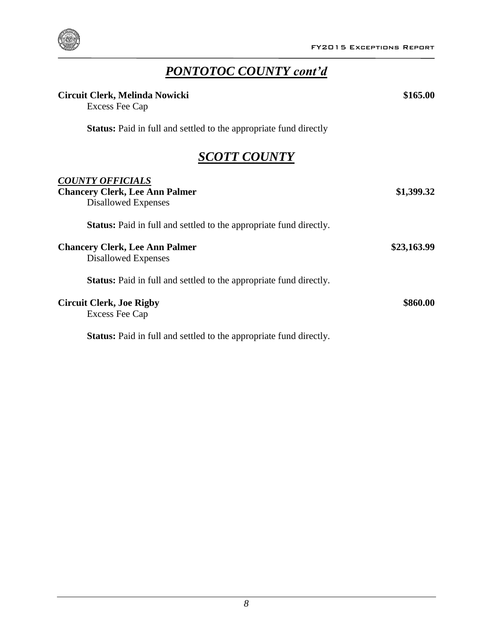

## *PONTOTOC COUNTY cont'd*

| Circuit Clerk, Melinda Nowicki<br>Excess Fee Cap                                        | \$165.00    |
|-----------------------------------------------------------------------------------------|-------------|
| <b>Status:</b> Paid in full and settled to the appropriate fund directly                |             |
| <b>SCOTT COUNTY</b>                                                                     |             |
| <b>COUNTY OFFICIALS</b><br><b>Chancery Clerk, Lee Ann Palmer</b><br>Disallowed Expenses | \$1,399.32  |
| <b>Status:</b> Paid in full and settled to the appropriate fund directly.               |             |
| <b>Chancery Clerk, Lee Ann Palmer</b><br>Disallowed Expenses                            | \$23,163.99 |
| <b>Status:</b> Paid in full and settled to the appropriate fund directly.               |             |
| <b>Circuit Clerk, Joe Rigby</b><br>Excess Fee Cap                                       | \$860.00    |
| <b>Status:</b> Paid in full and settled to the appropriate fund directly.               |             |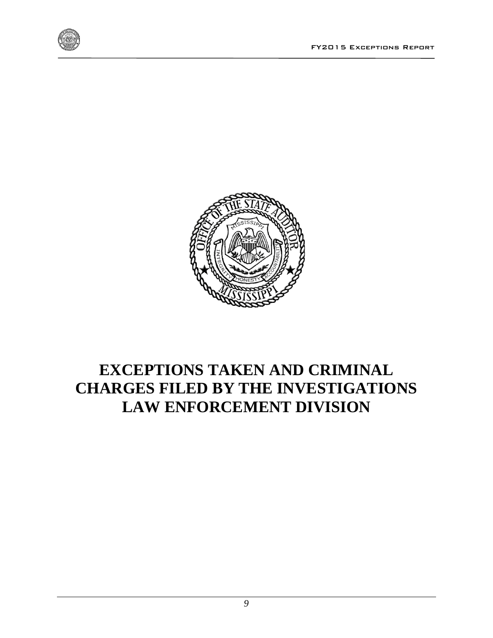



## **EXCEPTIONS TAKEN AND CRIMINAL CHARGES FILED BY THE INVESTIGATIONS LAW ENFORCEMENT DIVISION**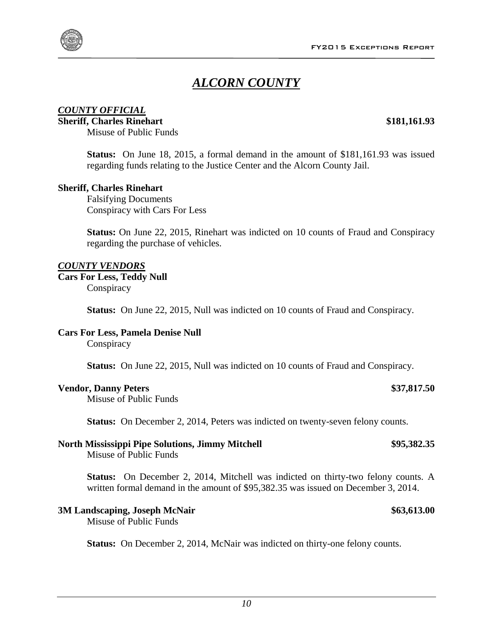

## *ALCORN COUNTY*

#### *COUNTY OFFICIAL*

#### **Sheriff, Charles Rinehart \$181,161.93**

Misuse of Public Funds

**Status:** On June 18, 2015, a formal demand in the amount of \$181,161.93 was issued regarding funds relating to the Justice Center and the Alcorn County Jail.

#### **Sheriff, Charles Rinehart**

Falsifying Documents Conspiracy with Cars For Less

**Status:** On June 22, 2015, Rinehart was indicted on 10 counts of Fraud and Conspiracy regarding the purchase of vehicles.

#### *COUNTY VENDORS*

**Cars For Less, Teddy Null Conspiracy** 

**Status:** On June 22, 2015, Null was indicted on 10 counts of Fraud and Conspiracy.

#### **Cars For Less, Pamela Denise Null**

**Conspiracy** 

**Status:** On June 22, 2015, Null was indicted on 10 counts of Fraud and Conspiracy.

#### **Vendor, Danny Peters \$37,817.50**

Misuse of Public Funds

**Status:** On December 2, 2014, Peters was indicted on twenty-seven felony counts.

### **North Mississippi Pipe Solutions, Jimmy Mitchell \$95,382.35**

Misuse of Public Funds

**Status:** On December 2, 2014, Mitchell was indicted on thirty-two felony counts. A written formal demand in the amount of \$95,382.35 was issued on December 3, 2014.

#### **3M Landscaping, Joseph McNair \$63,613.00**

Misuse of Public Funds

**Status:** On December 2, 2014, McNair was indicted on thirty-one felony counts.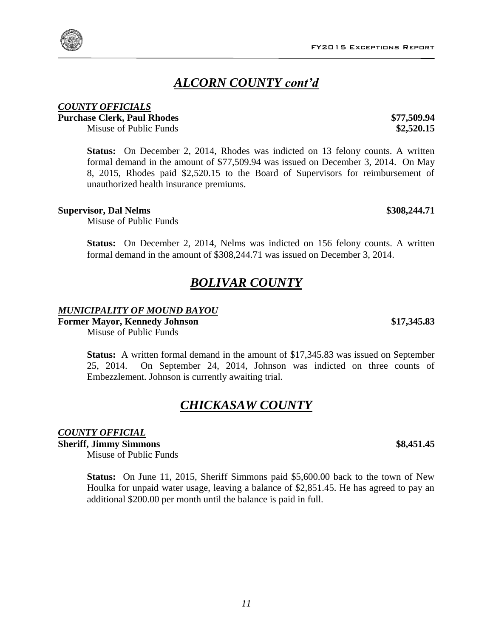## *ALCORN COUNTY cont'd*

#### *COUNTY OFFICIALS*

**Purchase Clerk, Paul Rhodes \$77,509.94**

Misuse of Public Funds **\$2,520.15**

**Status:** On December 2, 2014, Rhodes was indicted on 13 felony counts. A written formal demand in the amount of \$77,509.94 was issued on December 3, 2014. On May 8, 2015, Rhodes paid \$2,520.15 to the Board of Supervisors for reimbursement of unauthorized health insurance premiums.

#### **Supervisor, Dal Nelms \$308,244.71**

Misuse of Public Funds

**Status:** On December 2, 2014, Nelms was indicted on 156 felony counts. A written formal demand in the amount of \$308,244.71 was issued on December 3, 2014.

## *BOLIVAR COUNTY*

#### *MUNICIPALITY OF MOUND BAYOU*

**Former Mayor, Kennedy Johnson \$17,345.83**

Misuse of Public Funds

**Status:** A written formal demand in the amount of \$17,345.83 was issued on September 25, 2014. On September 24, 2014, Johnson was indicted on three counts of Embezzlement. Johnson is currently awaiting trial.

## *CHICKASAW COUNTY*

#### *COUNTY OFFICIAL* **Sheriff, Jimmy Simmons \$8,451.45**

Misuse of Public Funds

**Status:** On June 11, 2015, Sheriff Simmons paid \$5,600.00 back to the town of New Houlka for unpaid water usage, leaving a balance of \$2,851.45. He has agreed to pay an additional \$200.00 per month until the balance is paid in full.

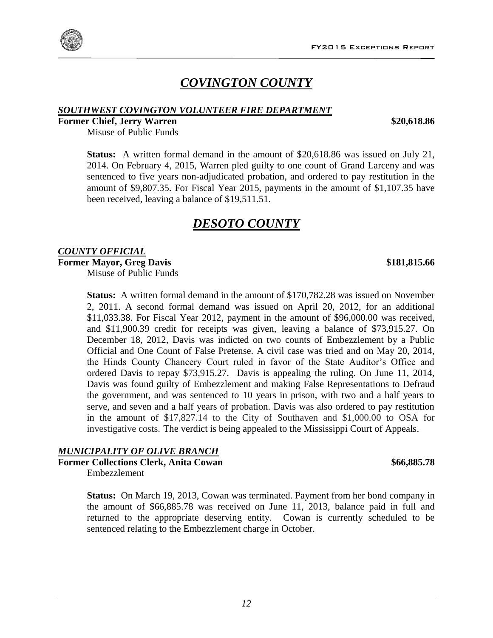*12*

*COVINGTON COUNTY*

#### *SOUTHWEST COVINGTON VOLUNTEER FIRE DEPARTMENT*

#### **Former Chief, Jerry Warren \$20,618.86**

Misuse of Public Funds

**Status:** A written formal demand in the amount of \$20,618.86 was issued on July 21, 2014. On February 4, 2015, Warren pled guilty to one count of Grand Larceny and was sentenced to five years non-adjudicated probation, and ordered to pay restitution in the amount of \$9,807.35. For Fiscal Year 2015, payments in the amount of \$1,107.35 have been received, leaving a balance of \$19,511.51.

## *DESOTO COUNTY*

*COUNTY OFFICIAL* **Former Mayor, Greg Davis \$181,815.66** Misuse of Public Funds

**Status:** A written formal demand in the amount of \$170,782.28 was issued on November 2, 2011. A second formal demand was issued on April 20, 2012, for an additional \$11,033.38. For Fiscal Year 2012, payment in the amount of \$96,000.00 was received, and \$11,900.39 credit for receipts was given, leaving a balance of \$73,915.27. On December 18, 2012, Davis was indicted on two counts of Embezzlement by a Public Official and One Count of False Pretense. A civil case was tried and on May 20, 2014, the Hinds County Chancery Court ruled in favor of the State Auditor's Office and ordered Davis to repay \$73,915.27. Davis is appealing the ruling. On June 11, 2014, Davis was found guilty of Embezzlement and making False Representations to Defraud the government, and was sentenced to 10 years in prison, with two and a half years to serve, and seven and a half years of probation. Davis was also ordered to pay restitution in the amount of \$17,827.14 to the City of Southaven and \$1,000.00 to OSA for investigative costs. The verdict is being appealed to the Mississippi Court of Appeals.

### *MUNICIPALITY OF OLIVE BRANCH*

**Former Collections Clerk, Anita Cowan \$66,885.78** Embezzlement

**Status:** On March 19, 2013, Cowan was terminated. Payment from her bond company in the amount of \$66,885.78 was received on June 11, 2013, balance paid in full and returned to the appropriate deserving entity. Cowan is currently scheduled to be sentenced relating to the Embezzlement charge in October.

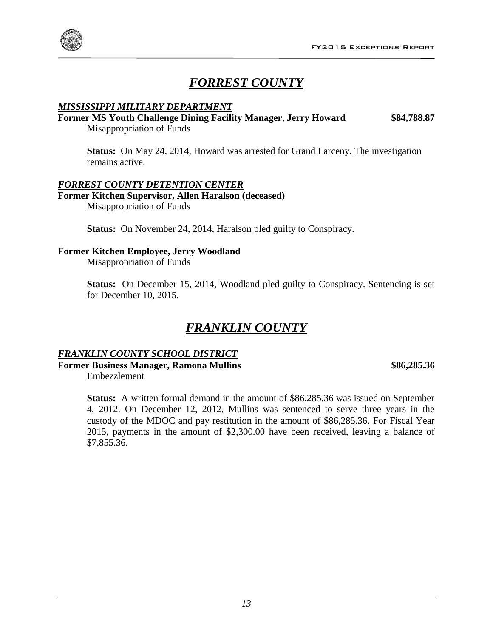

## *FORREST COUNTY*

#### *MISSISSIPPI MILITARY DEPARTMENT*

**Former MS Youth Challenge Dining Facility Manager, Jerry Howard \$84,788.87** Misappropriation of Funds

**Status:** On May 24, 2014, Howard was arrested for Grand Larceny. The investigation remains active.

#### *FORREST COUNTY DETENTION CENTER*

**Former Kitchen Supervisor, Allen Haralson (deceased)** Misappropriation of Funds

**Status:** On November 24, 2014, Haralson pled guilty to Conspiracy.

#### **Former Kitchen Employee, Jerry Woodland**

Misappropriation of Funds

**Status:** On December 15, 2014, Woodland pled guilty to Conspiracy. Sentencing is set for December 10, 2015.

## *FRANKLIN COUNTY*

#### *FRANKLIN COUNTY SCHOOL DISTRICT*

**Former Business Manager, Ramona Mullins \$86,285.36** Embezzlement

**Status:** A written formal demand in the amount of \$86,285.36 was issued on September 4, 2012. On December 12, 2012, Mullins was sentenced to serve three years in the custody of the MDOC and pay restitution in the amount of \$86,285.36. For Fiscal Year 2015, payments in the amount of \$2,300.00 have been received, leaving a balance of \$7,855.36.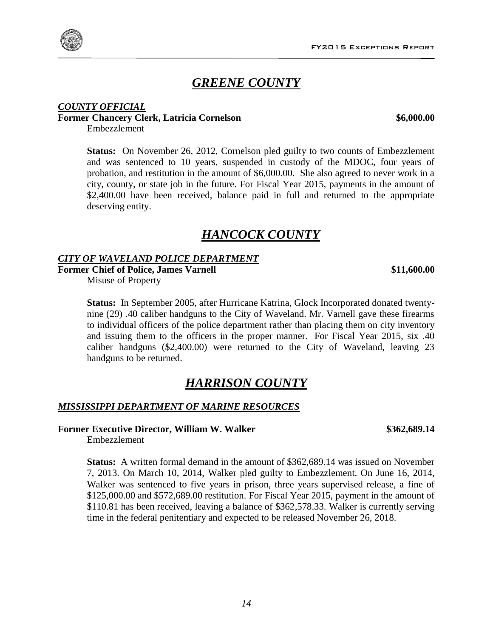*14*

## *GREENE COUNTY*

#### *COUNTY OFFICIAL* **Former Chancery Clerk, Latricia Cornelson \$6,000.00**

Embezzlement

**Status:** On November 26, 2012, Cornelson pled guilty to two counts of Embezzlement and was sentenced to 10 years, suspended in custody of the MDOC, four years of probation, and restitution in the amount of \$6,000.00. She also agreed to never work in a city, county, or state job in the future. For Fiscal Year 2015, payments in the amount of \$2,400.00 have been received, balance paid in full and returned to the appropriate deserving entity.

## *HANCOCK COUNTY*

#### *CITY OF WAVELAND POLICE DEPARTMENT*

#### **Former Chief of Police, James Varnell \$11,600.00**

Misuse of Property

**Status:** In September 2005, after Hurricane Katrina, Glock Incorporated donated twentynine (29) .40 caliber handguns to the City of Waveland. Mr. Varnell gave these firearms to individual officers of the police department rather than placing them on city inventory and issuing them to the officers in the proper manner. For Fiscal Year 2015, six .40 caliber handguns (\$2,400.00) were returned to the City of Waveland, leaving 23 handguns to be returned.

## *HARRISON COUNTY*

#### *MISSISSIPPI DEPARTMENT OF MARINE RESOURCES*

#### **Former Executive Director, William W. Walker \$362,689.14**

Embezzlement

**Status:** A written formal demand in the amount of \$362,689.14 was issued on November 7, 2013. On March 10, 2014, Walker pled guilty to Embezzlement. On June 16, 2014, Walker was sentenced to five years in prison, three years supervised release, a fine of \$125,000.00 and \$572,689.00 restitution. For Fiscal Year 2015, payment in the amount of \$110.81 has been received, leaving a balance of \$362,578.33. Walker is currently serving time in the federal penitentiary and expected to be released November 26, 2018.

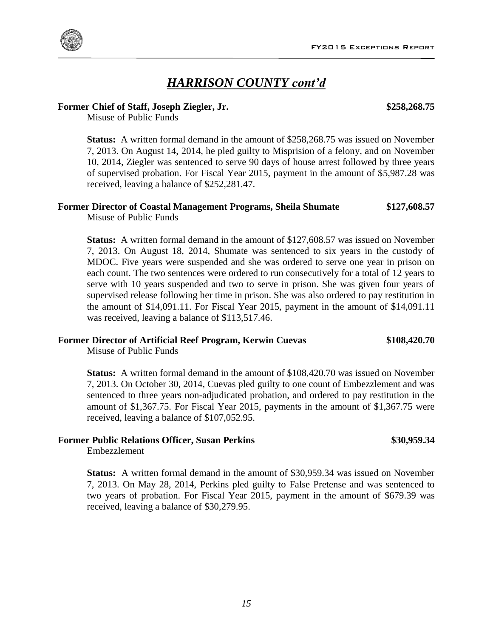## *HARRISON COUNTY cont'd*

### **Former Chief of Staff, Joseph Ziegler, Jr. \$258,268.75**

Misuse of Public Funds

**Status:** A written formal demand in the amount of \$258,268.75 was issued on November 7, 2013. On August 14, 2014, he pled guilty to Misprision of a felony, and on November 10, 2014, Ziegler was sentenced to serve 90 days of house arrest followed by three years of supervised probation. For Fiscal Year 2015, payment in the amount of \$5,987.28 was received, leaving a balance of \$252,281.47.

#### **Former Director of Coastal Management Programs, Sheila Shumate \$127,608.57** Misuse of Public Funds

**Status:** A written formal demand in the amount of \$127,608.57 was issued on November 7, 2013. On August 18, 2014, Shumate was sentenced to six years in the custody of MDOC. Five years were suspended and she was ordered to serve one year in prison on each count. The two sentences were ordered to run consecutively for a total of 12 years to serve with 10 years suspended and two to serve in prison. She was given four years of supervised release following her time in prison. She was also ordered to pay restitution in the amount of \$14,091.11. For Fiscal Year 2015, payment in the amount of \$14,091.11 was received, leaving a balance of \$113,517.46.

#### **Former Director of Artificial Reef Program, Kerwin Cuevas \$108,420.70**

Misuse of Public Funds

**Status:** A written formal demand in the amount of \$108,420.70 was issued on November 7, 2013. On October 30, 2014, Cuevas pled guilty to one count of Embezzlement and was sentenced to three years non-adjudicated probation, and ordered to pay restitution in the amount of \$1,367.75. For Fiscal Year 2015, payments in the amount of \$1,367.75 were received, leaving a balance of \$107,052.95.

#### **Former Public Relations Officer, Susan Perkins \$30,959.34**

Embezzlement

**Status:** A written formal demand in the amount of \$30,959.34 was issued on November 7, 2013. On May 28, 2014, Perkins pled guilty to False Pretense and was sentenced to two years of probation. For Fiscal Year 2015, payment in the amount of \$679.39 was received, leaving a balance of \$30,279.95.

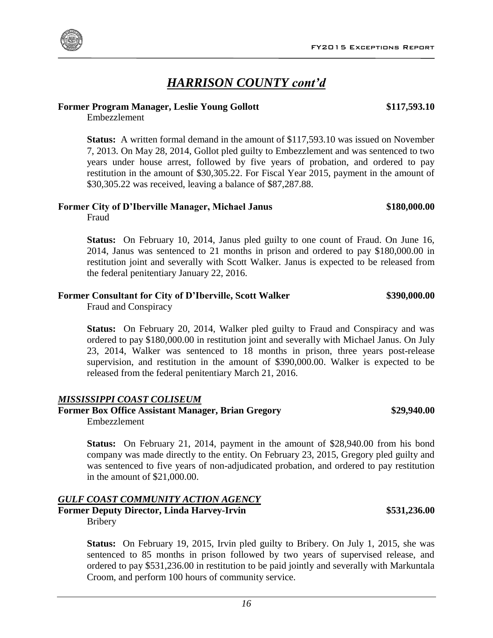## *HARRISON COUNTY cont'd*

#### **Former Program Manager, Leslie Young Gollott \$117,593.10**

Embezzlement

**Status:** A written formal demand in the amount of \$117,593.10 was issued on November 7, 2013. On May 28, 2014, Gollot pled guilty to Embezzlement and was sentenced to two years under house arrest, followed by five years of probation, and ordered to pay restitution in the amount of \$30,305.22. For Fiscal Year 2015, payment in the amount of \$30,305.22 was received, leaving a balance of \$87,287.88.

#### **Former City of D'Iberville Manager, Michael Janus \$180,000.00**

Fraud

**Status:** On February 10, 2014, Janus pled guilty to one count of Fraud. On June 16, 2014, Janus was sentenced to 21 months in prison and ordered to pay \$180,000.00 in restitution joint and severally with Scott Walker. Janus is expected to be released from the federal penitentiary January 22, 2016.

#### **Former Consultant for City of D'Iberville, Scott Walker \$390,000.00**

Fraud and Conspiracy

**Status:** On February 20, 2014, Walker pled guilty to Fraud and Conspiracy and was ordered to pay \$180,000.00 in restitution joint and severally with Michael Janus. On July 23, 2014, Walker was sentenced to 18 months in prison, three years post-release supervision, and restitution in the amount of \$390,000.00. Walker is expected to be released from the federal penitentiary March 21, 2016.

#### *MISSISSIPPI COAST COLISEUM*

#### **Former Box Office Assistant Manager, Brian Gregory \$29,940.00** Embezzlement

**Status:** On February 21, 2014, payment in the amount of \$28,940.00 from his bond company was made directly to the entity. On February 23, 2015, Gregory pled guilty and was sentenced to five years of non-adjudicated probation, and ordered to pay restitution in the amount of \$21,000.00.

#### *GULF COAST COMMUNITY ACTION AGENCY*

**Former Deputy Director, Linda Harvey-Irvin 1996 1997 1997 1998 1997 1998 1998 1998 1999 1999 1999 1999 1999 1999 1999 1999 1999 1999 1999 1999 1999 1999 1999 1999 1999 1** Bribery

**Status:** On February 19, 2015, Irvin pled guilty to Bribery. On July 1, 2015, she was sentenced to 85 months in prison followed by two years of supervised release, and ordered to pay \$531,236.00 in restitution to be paid jointly and severally with Markuntala Croom, and perform 100 hours of community service.

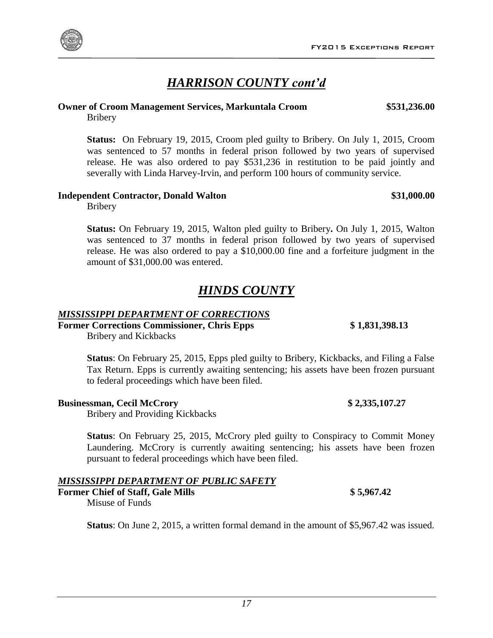## *HARRISON COUNTY cont'd*

#### **Owner of Croom Management Services, Markuntala Croom \$531,236.00**

Bribery

**Status:** On February 19, 2015, Croom pled guilty to Bribery. On July 1, 2015, Croom was sentenced to 57 months in federal prison followed by two years of supervised release. He was also ordered to pay \$531,236 in restitution to be paid jointly and severally with Linda Harvey-Irvin, and perform 100 hours of community service.

#### **Independent Contractor, Donald Walton \$31,000.00**

Bribery

**Status:** On February 19, 2015, Walton pled guilty to Bribery**.** On July 1, 2015, Walton was sentenced to 37 months in federal prison followed by two years of supervised release. He was also ordered to pay a \$10,000.00 fine and a forfeiture judgment in the amount of \$31,000.00 was entered.

## *HINDS COUNTY*

#### *MISSISSIPPI DEPARTMENT OF CORRECTIONS*

**Former Corrections Commissioner, Chris Epps \$ 1,831,398.13** Bribery and Kickbacks

**Status**: On February 25, 2015, Epps pled guilty to Bribery, Kickbacks, and Filing a False Tax Return. Epps is currently awaiting sentencing; his assets have been frozen pursuant to federal proceedings which have been filed.

#### **Businessman, Cecil McCrory \$ 2,335,107.27**

Bribery and Providing Kickbacks

**Status**: On February 25, 2015, McCrory pled guilty to Conspiracy to Commit Money Laundering. McCrory is currently awaiting sentencing; his assets have been frozen pursuant to federal proceedings which have been filed.

#### *MISSISSIPPI DEPARTMENT OF PUBLIC SAFETY*

**Former Chief of Staff, Gale Mills \$ 5,967.42** Misuse of Funds

**Status**: On June 2, 2015, a written formal demand in the amount of \$5,967.42 was issued.

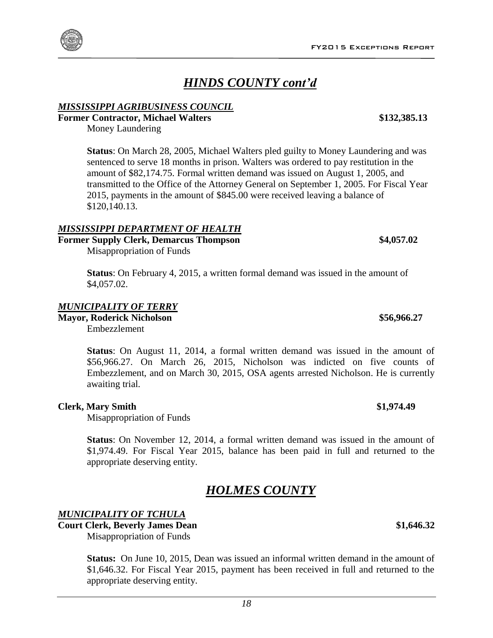## *HINDS COUNTY cont'd*

#### *MISSISSIPPI AGRIBUSINESS COUNCIL*

**Former Contractor, Michael Walters \$132,385.13**  Money Laundering

**Status**: On March 28, 2005, Michael Walters pled guilty to Money Laundering and was sentenced to serve 18 months in prison. Walters was ordered to pay restitution in the amount of \$82,174.75. Formal written demand was issued on August 1, 2005, and transmitted to the Office of the Attorney General on September 1, 2005. For Fiscal Year 2015, payments in the amount of \$845.00 were received leaving a balance of \$120,140.13.

#### *MISSISSIPPI DEPARTMENT OF HEALTH*

### **Former Supply Clerk, Demarcus Thompson \$4,057.02**

Misappropriation of Funds

**Status**: On February 4, 2015, a written formal demand was issued in the amount of \$4,057.02.

#### *MUNICIPALITY OF TERRY*

**Mayor, Roderick Nicholson \$56,966.27** Embezzlement

**Status**: On August 11, 2014, a formal written demand was issued in the amount of \$56,966.27. On March 26, 2015, Nicholson was indicted on five counts of Embezzlement, and on March 30, 2015, OSA agents arrested Nicholson. He is currently awaiting trial.

#### **Clerk, Mary Smith \$1,974.49**

Misappropriation of Funds

**Status**: On November 12, 2014, a formal written demand was issued in the amount of \$1,974.49. For Fiscal Year 2015, balance has been paid in full and returned to the appropriate deserving entity.

## *HOLMES COUNTY*

#### *MUNICIPALITY OF TCHULA*

**Court Clerk, Beverly James Dean \$1,646.32** Misappropriation of Funds

**Status:** On June 10, 2015, Dean was issued an informal written demand in the amount of \$1,646.32. For Fiscal Year 2015, payment has been received in full and returned to the appropriate deserving entity.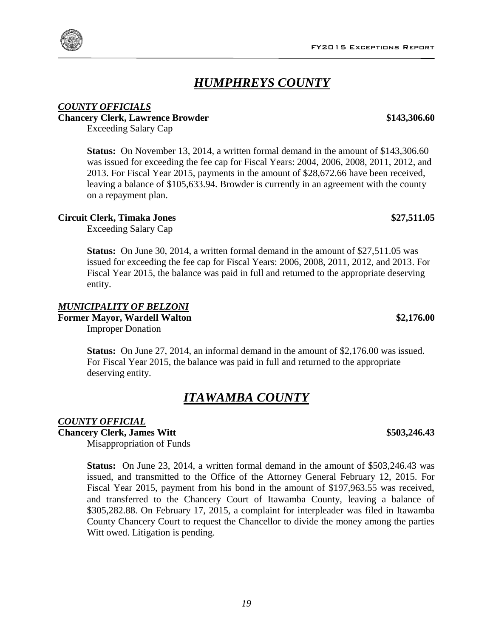## *HUMPHREYS COUNTY*

#### *COUNTY OFFICIALS*

#### **Chancery Clerk, Lawrence Browder \$143,306.60**

Exceeding Salary Cap

**Status:** On November 13, 2014, a written formal demand in the amount of \$143,306.60 was issued for exceeding the fee cap for Fiscal Years: 2004, 2006, 2008, 2011, 2012, and 2013. For Fiscal Year 2015, payments in the amount of \$28,672.66 have been received, leaving a balance of \$105,633.94. Browder is currently in an agreement with the county on a repayment plan.

#### **Circuit Clerk, Timaka Jones \$27,511.05**

Exceeding Salary Cap

**Status:** On June 30, 2014, a written formal demand in the amount of \$27,511.05 was issued for exceeding the fee cap for Fiscal Years: 2006, 2008, 2011, 2012, and 2013. For Fiscal Year 2015, the balance was paid in full and returned to the appropriate deserving entity.

#### *MUNICIPALITY OF BELZONI*

**Former Mayor, Wardell Walton \$2,176.00**

Improper Donation

**Status:** On June 27, 2014, an informal demand in the amount of \$2,176.00 was issued. For Fiscal Year 2015, the balance was paid in full and returned to the appropriate deserving entity.

## *ITAWAMBA COUNTY*

### *COUNTY OFFICIAL*

**Chancery Clerk, James Witt \$503,246.43** Misappropriation of Funds

**Status:** On June 23, 2014, a written formal demand in the amount of \$503,246.43 was issued, and transmitted to the Office of the Attorney General February 12, 2015. For Fiscal Year 2015, payment from his bond in the amount of \$197,963.55 was received, and transferred to the Chancery Court of Itawamba County, leaving a balance of \$305,282.88. On February 17, 2015, a complaint for interpleader was filed in Itawamba County Chancery Court to request the Chancellor to divide the money among the parties Witt owed. Litigation is pending.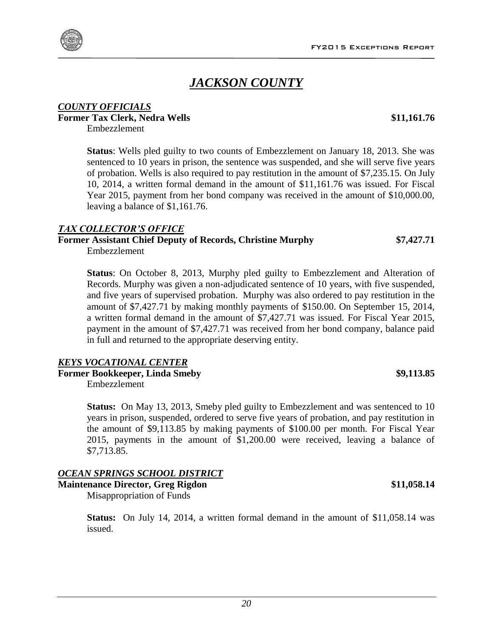FY2015 Exceptions Report

## *JACKSON COUNTY*

#### *COUNTY OFFICIALS* Former Tax Clerk, Nedra Wells **\$11,161.76**

Embezzlement

**Status**: Wells pled guilty to two counts of Embezzlement on January 18, 2013. She was sentenced to 10 years in prison, the sentence was suspended, and she will serve five years of probation. Wells is also required to pay restitution in the amount of \$7,235.15. On July 10, 2014, a written formal demand in the amount of \$11,161.76 was issued. For Fiscal Year 2015, payment from her bond company was received in the amount of \$10,000.00, leaving a balance of \$1,161.76.

#### *TAX COLLECTOR'S OFFICE*

## **Former Assistant Chief Deputy of Records, Christine Murphy \$7,427.71**

Embezzlement

**Status**: On October 8, 2013, Murphy pled guilty to Embezzlement and Alteration of Records. Murphy was given a non-adjudicated sentence of 10 years, with five suspended, and five years of supervised probation. Murphy was also ordered to pay restitution in the amount of \$7,427.71 by making monthly payments of \$150.00. On September 15, 2014, a written formal demand in the amount of \$7,427.71 was issued. For Fiscal Year 2015, payment in the amount of \$7,427.71 was received from her bond company, balance paid in full and returned to the appropriate deserving entity.

### *KEYS VOCATIONAL CENTER*

**Former Bookkeeper, Linda Smeby \$9,113.85**

Embezzlement

**Status:** On May 13, 2013, Smeby pled guilty to Embezzlement and was sentenced to 10 years in prison, suspended, ordered to serve five years of probation, and pay restitution in the amount of \$9,113.85 by making payments of \$100.00 per month. For Fiscal Year 2015, payments in the amount of \$1,200.00 were received, leaving a balance of \$7,713.85.

#### *OCEAN SPRINGS SCHOOL DISTRICT*

**Maintenance Director, Greg Rigdon \$11,058.14**

Misappropriation of Funds

**Status:** On July 14, 2014, a written formal demand in the amount of \$11,058.14 was issued.

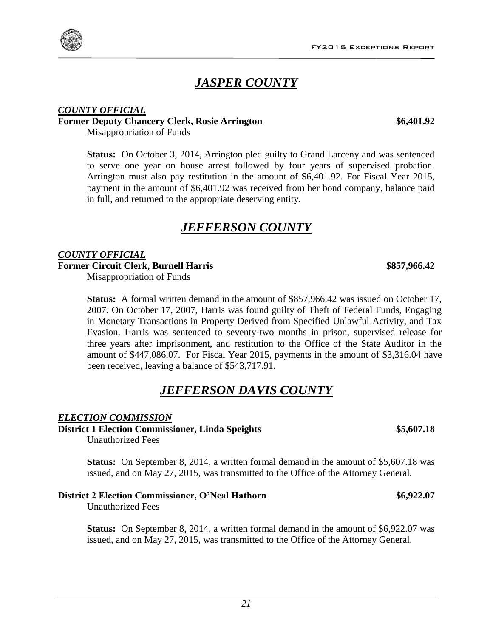

## *JASPER COUNTY*

#### *COUNTY OFFICIAL* **Former Deputy Chancery Clerk, Rosie Arrington \$6,401.92**

Misappropriation of Funds

**Status:** On October 3, 2014, Arrington pled guilty to Grand Larceny and was sentenced to serve one year on house arrest followed by four years of supervised probation. Arrington must also pay restitution in the amount of \$6,401.92. For Fiscal Year 2015, payment in the amount of \$6,401.92 was received from her bond company, balance paid in full, and returned to the appropriate deserving entity.

## *JEFFERSON COUNTY*

#### *COUNTY OFFICIAL*

#### **Former Circuit Clerk, Burnell Harris \$857,966.42**

Misappropriation of Funds

**Status:** A formal written demand in the amount of \$857,966.42 was issued on October 17, 2007. On October 17, 2007, Harris was found guilty of Theft of Federal Funds, Engaging in Monetary Transactions in Property Derived from Specified Unlawful Activity, and Tax Evasion. Harris was sentenced to seventy-two months in prison, supervised release for three years after imprisonment, and restitution to the Office of the State Auditor in the amount of \$447,086.07. For Fiscal Year 2015, payments in the amount of \$3,316.04 have been received, leaving a balance of \$543,717.91.

## *JEFFERSON DAVIS COUNTY*

#### *ELECTION COMMISSION*

**District 1 Election Commissioner, Linda Speights \$5,607.18**

Unauthorized Fees

**Status:** On September 8, 2014, a written formal demand in the amount of \$5,607.18 was issued, and on May 27, 2015, was transmitted to the Office of the Attorney General.

#### **District 2 Election Commissioner, O'Neal Hathorn \$6,922.07**

Unauthorized Fees

**Status:** On September 8, 2014, a written formal demand in the amount of \$6,922.07 was issued, and on May 27, 2015, was transmitted to the Office of the Attorney General.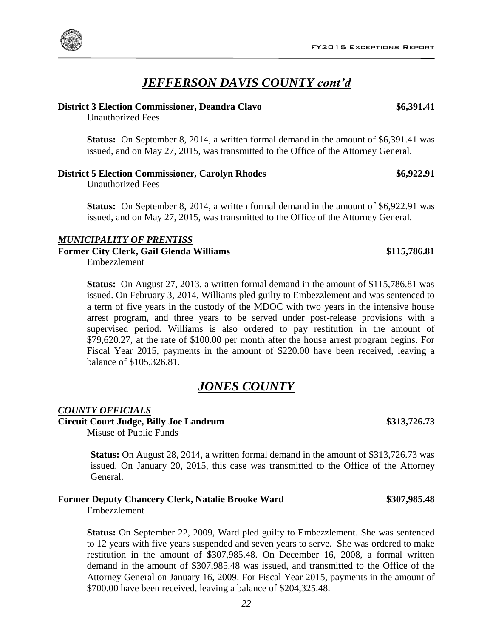### *JEFFERSON DAVIS COUNTY cont'd*

#### **District 3 Election Commissioner, Deandra Clavo \$6,391.41**

Unauthorized Fees

**Status:** On September 8, 2014, a written formal demand in the amount of \$6,391.41 was issued, and on May 27, 2015, was transmitted to the Office of the Attorney General.

#### **District 5 Election Commissioner, Carolyn Rhodes \$6,922.91**

Unauthorized Fees

**Status:** On September 8, 2014, a written formal demand in the amount of \$6,922.91 was issued, and on May 27, 2015, was transmitted to the Office of the Attorney General.

#### *MUNICIPALITY OF PRENTISS*

**Former City Clerk, Gail Glenda Williams \$115,786.81**

Embezzlement

**Status:** On August 27, 2013, a written formal demand in the amount of \$115,786.81 was issued. On February 3, 2014, Williams pled guilty to Embezzlement and was sentenced to a term of five years in the custody of the MDOC with two years in the intensive house arrest program, and three years to be served under post-release provisions with a supervised period. Williams is also ordered to pay restitution in the amount of \$79,620.27, at the rate of \$100.00 per month after the house arrest program begins. For Fiscal Year 2015, payments in the amount of \$220.00 have been received, leaving a balance of \$105,326.81.

## *JONES COUNTY*

#### *COUNTY OFFICIALS*

#### **Circuit Court Judge, Billy Joe Landrum \$313,726.73** Misuse of Public Funds

**Status:** On August 28, 2014, a written formal demand in the amount of \$313,726.73 was issued. On January 20, 2015, this case was transmitted to the Office of the Attorney General.

#### **Former Deputy Chancery Clerk, Natalie Brooke Ward \$307,985.48**

Embezzlement

**Status:** On September 22, 2009, Ward pled guilty to Embezzlement. She was sentenced to 12 years with five years suspended and seven years to serve. She was ordered to make restitution in the amount of \$307,985.48. On December 16, 2008, a formal written demand in the amount of \$307,985.48 was issued, and transmitted to the Office of the Attorney General on January 16, 2009. For Fiscal Year 2015, payments in the amount of \$700.00 have been received, leaving a balance of \$204,325.48.



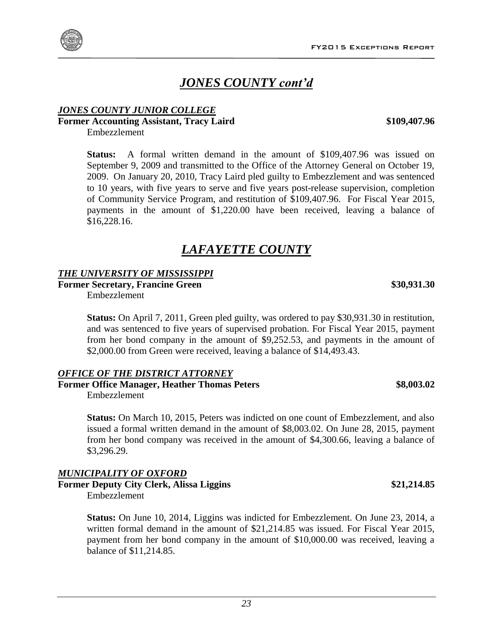## *JONES COUNTY cont'd*

### *JONES COUNTY JUNIOR COLLEGE*

Former Accounting Assistant, Tracy Laird **\$109,407.96** 

Embezzlement

**Status:** A formal written demand in the amount of \$109,407.96 was issued on September 9, 2009 and transmitted to the Office of the Attorney General on October 19, 2009. On January 20, 2010, Tracy Laird pled guilty to Embezzlement and was sentenced to 10 years, with five years to serve and five years post-release supervision, completion of Community Service Program, and restitution of \$109,407.96. For Fiscal Year 2015, payments in the amount of \$1,220.00 have been received, leaving a balance of \$16,228.16.

## *LAFAYETTE COUNTY*

#### *THE UNIVERSITY OF MISSISSIPPI*

**Former Secretary, Francine Green \$30,931.30** 

Embezzlement

**Status:** On April 7, 2011, Green pled guilty, was ordered to pay \$30,931.30 in restitution, and was sentenced to five years of supervised probation. For Fiscal Year 2015, payment from her bond company in the amount of \$9,252.53, and payments in the amount of \$2,000.00 from Green were received, leaving a balance of \$14,493.43.

#### *OFFICE OF THE DISTRICT ATTORNEY*

**Former Office Manager, Heather Thomas Peters \$8,003.02** Embezzlement

**Status:** On March 10, 2015, Peters was indicted on one count of Embezzlement, and also issued a formal written demand in the amount of \$8,003.02. On June 28, 2015, payment from her bond company was received in the amount of \$4,300.66, leaving a balance of \$3,296.29.

#### *MUNICIPALITY OF OXFORD*

**Former Deputy City Clerk, Alissa Liggins \$21,214.85**

Embezzlement

**Status:** On June 10, 2014, Liggins was indicted for Embezzlement. On June 23, 2014, a written formal demand in the amount of \$21,214.85 was issued. For Fiscal Year 2015, payment from her bond company in the amount of \$10,000.00 was received, leaving a balance of \$11,214.85.

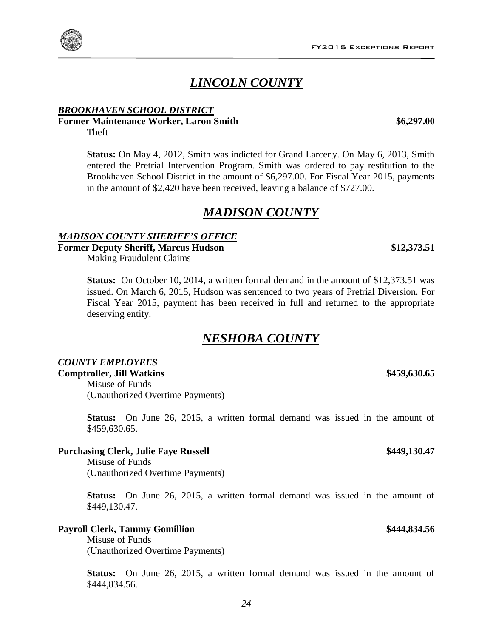## *LINCOLN COUNTY*

#### *BROOKHAVEN SCHOOL DISTRICT*

### **Former Maintenance Worker, Laron Smith \$6,297.00**

Theft

**Status:** On May 4, 2012, Smith was indicted for Grand Larceny. On May 6, 2013, Smith entered the Pretrial Intervention Program. Smith was ordered to pay restitution to the Brookhaven School District in the amount of \$6,297.00. For Fiscal Year 2015, payments in the amount of \$2,420 have been received, leaving a balance of \$727.00.

## *MADISON COUNTY*

#### *MADISON COUNTY SHERIFF'S OFFICE*

**Former Deputy Sheriff, Marcus Hudson \$12,373.51**

Making Fraudulent Claims

**Status:** On October 10, 2014, a written formal demand in the amount of \$12,373.51 was issued. On March 6, 2015, Hudson was sentenced to two years of Pretrial Diversion. For Fiscal Year 2015, payment has been received in full and returned to the appropriate deserving entity.

## *NESHOBA COUNTY*

## *COUNTY EMPLOYEES*

**Comptroller, Jill Watkins \$459,630.65** Misuse of Funds (Unauthorized Overtime Payments)

**Status:** On June 26, 2015, a written formal demand was issued in the amount of \$459,630.65.

#### **Purchasing Clerk, Julie Faye Russell \$449,130.47**

Misuse of Funds (Unauthorized Overtime Payments)

**Status:** On June 26, 2015, a written formal demand was issued in the amount of \$449,130.47.

#### **Payroll Clerk, Tammy Gomillion \$444,834.56**

Misuse of Funds (Unauthorized Overtime Payments)

**Status:** On June 26, 2015, a written formal demand was issued in the amount of \$444,834.56.

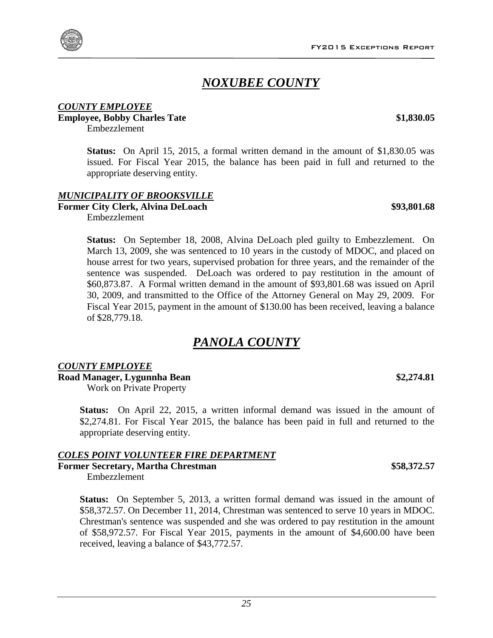## *NOXUBEE COUNTY*

#### *COUNTY EMPLOYEE* **Employee, Bobby Charles Tate \$1,830.05**

Embezzlement

**Status:** On April 15, 2015, a formal written demand in the amount of \$1,830.05 was issued. For Fiscal Year 2015, the balance has been paid in full and returned to the

#### *MUNICIPALITY OF BROOKSVILLE*

appropriate deserving entity.

Former City Clerk, Alvina DeLoach **\$93,801.68** Embezzlement

**Status:** On September 18, 2008, Alvina DeLoach pled guilty to Embezzlement. On March 13, 2009, she was sentenced to 10 years in the custody of MDOC, and placed on house arrest for two years, supervised probation for three years, and the remainder of the sentence was suspended. DeLoach was ordered to pay restitution in the amount of \$60,873.87. A Formal written demand in the amount of \$93,801.68 was issued on April 30, 2009, and transmitted to the Office of the Attorney General on May 29, 2009. For Fiscal Year 2015, payment in the amount of \$130.00 has been received, leaving a balance of \$28,779.18.

## *PANOLA COUNTY*

#### *COUNTY EMPLOYEE*

**Road Manager, Lygunnha Bean \$2,274.81** Work on Private Property

**Status:** On April 22, 2015, a written informal demand was issued in the amount of \$2,274.81. For Fiscal Year 2015, the balance has been paid in full and returned to the appropriate deserving entity.

#### *COLES POINT VOLUNTEER FIRE DEPARTMENT*

**Former Secretary, Martha Chrestman \$58,372.57**

Embezzlement

**Status:** On September 5, 2013, a written formal demand was issued in the amount of \$58,372.57. On December 11, 2014, Chrestman was sentenced to serve 10 years in MDOC. Chrestman's sentence was suspended and she was ordered to pay restitution in the amount of \$58,972.57. For Fiscal Year 2015, payments in the amount of \$4,600.00 have been received, leaving a balance of \$43,772.57.

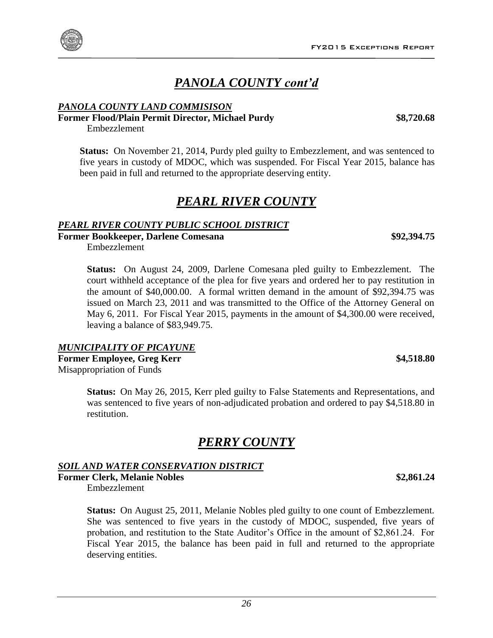## *PANOLA COUNTY cont'd*

#### *PANOLA COUNTY LAND COMMISISON*

### **Former Flood/Plain Permit Director, Michael Purdy \$8,720.68**

Embezzlement

**Status:** On November 21, 2014, Purdy pled guilty to Embezzlement, and was sentenced to five years in custody of MDOC, which was suspended. For Fiscal Year 2015, balance has been paid in full and returned to the appropriate deserving entity.

## *PEARL RIVER COUNTY*

#### *PEARL RIVER COUNTY PUBLIC SCHOOL DISTRICT*

**Former Bookkeeper, Darlene Comesana \$92,394.75**

Embezzlement

**Status:** On August 24, 2009, Darlene Comesana pled guilty to Embezzlement. The court withheld acceptance of the plea for five years and ordered her to pay restitution in the amount of \$40,000.00. A formal written demand in the amount of \$92,394.75 was issued on March 23, 2011 and was transmitted to the Office of the Attorney General on May 6, 2011. For Fiscal Year 2015, payments in the amount of \$4,300.00 were received, leaving a balance of \$83,949.75.

#### *MUNICIPALITY OF PICAYUNE*

**Former Employee, Greg Kerr \$4,518.80** Misappropriation of Funds

**Status:** On May 26, 2015, Kerr pled guilty to False Statements and Representations, and was sentenced to five years of non-adjudicated probation and ordered to pay \$4,518.80 in restitution.

## *PERRY COUNTY*

#### *SOIL AND WATER CONSERVATION DISTRICT*

**Former Clerk, Melanie Nobles \$2,861.24**

Embezzlement

**Status:** On August 25, 2011, Melanie Nobles pled guilty to one count of Embezzlement. She was sentenced to five years in the custody of MDOC, suspended, five years of probation, and restitution to the State Auditor's Office in the amount of \$2,861.24. For Fiscal Year 2015, the balance has been paid in full and returned to the appropriate deserving entities.

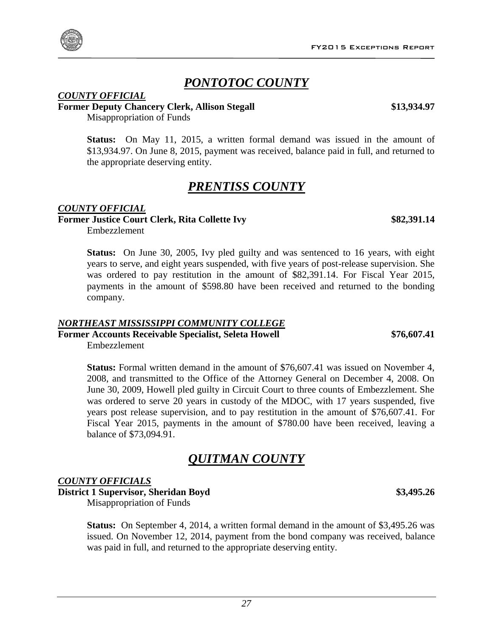## *PONTOTOC COUNTY*

#### *COUNTY OFFICIAL*

## **Former Deputy Chancery Clerk, Allison Stegall \$13,934.97**

Misappropriation of Funds

**Status:** On May 11, 2015, a written formal demand was issued in the amount of \$13,934.97. On June 8, 2015, payment was received, balance paid in full, and returned to the appropriate deserving entity.

## *PRENTISS COUNTY*

#### *COUNTY OFFICIAL*

#### **Former Justice Court Clerk, Rita Collette Ivy \$82,391.14**

Embezzlement

**Status:** On June 30, 2005, Ivy pled guilty and was sentenced to 16 years, with eight years to serve, and eight years suspended, with five years of post-release supervision. She was ordered to pay restitution in the amount of \$82,391.14. For Fiscal Year 2015, payments in the amount of \$598.80 have been received and returned to the bonding company.

#### *NORTHEAST MISSISSIPPI COMMUNITY COLLEGE*

**Former Accounts Receivable Specialist, Seleta Howell \$76,607.41** Embezzlement

**Status:** Formal written demand in the amount of \$76,607.41 was issued on November 4, 2008, and transmitted to the Office of the Attorney General on December 4, 2008. On June 30, 2009, Howell pled guilty in Circuit Court to three counts of Embezzlement. She was ordered to serve 20 years in custody of the MDOC, with 17 years suspended, five years post release supervision, and to pay restitution in the amount of \$76,607.41. For Fiscal Year 2015, payments in the amount of \$780.00 have been received, leaving a balance of \$73,094.91.

## *QUITMAN COUNTY*

#### *COUNTY OFFICIALS*

#### **District 1 Supervisor, Sheridan Boyd \$3,495.26**

Misappropriation of Funds

**Status:** On September 4, 2014, a written formal demand in the amount of \$3,495.26 was issued. On November 12, 2014, payment from the bond company was received, balance was paid in full, and returned to the appropriate deserving entity.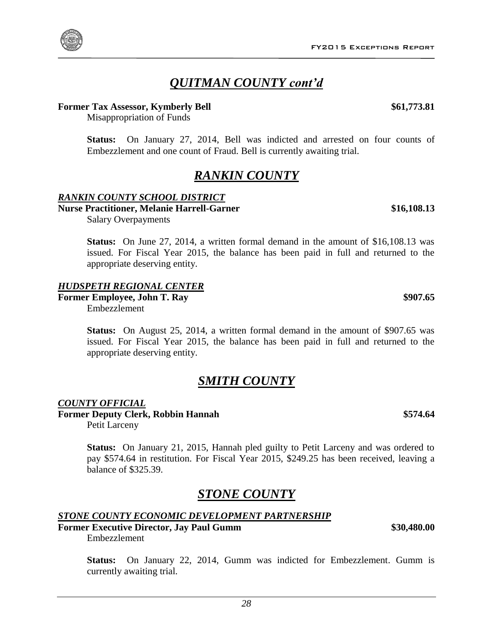## *QUITMAN COUNTY cont'd*

#### **Former Tax Assessor, Kymberly Bell \$61,773.81**

Misappropriation of Funds

**Status:** On January 27, 2014, Bell was indicted and arrested on four counts of Embezzlement and one count of Fraud. Bell is currently awaiting trial.

## *RANKIN COUNTY*

#### *RANKIN COUNTY SCHOOL DISTRICT*

**Nurse Practitioner, Melanie Harrell-Garner \$16,108.13**  Salary Overpayments

**Status:** On June 27, 2014, a written formal demand in the amount of \$16,108.13 was issued. For Fiscal Year 2015, the balance has been paid in full and returned to the appropriate deserving entity.

#### *HUDSPETH REGIONAL CENTER*

**Former Employee, John T. Ray \$907.65** Embezzlement

**Status:** On August 25, 2014, a written formal demand in the amount of \$907.65 was issued. For Fiscal Year 2015, the balance has been paid in full and returned to the appropriate deserving entity.

## *SMITH COUNTY*

#### *COUNTY OFFICIAL*

**Former Deputy Clerk, Robbin Hannah \$574.64** Petit Larceny

**Status:** On January 21, 2015, Hannah pled guilty to Petit Larceny and was ordered to pay \$574.64 in restitution. For Fiscal Year 2015, \$249.25 has been received, leaving a balance of \$325.39.

## *STONE COUNTY*

#### *STONE COUNTY ECONOMIC DEVELOPMENT PARTNERSHIP*

#### **Former Executive Director, Jay Paul Gumm \$30,480.00** Embezzlement

**Status:** On January 22, 2014, Gumm was indicted for Embezzlement. Gumm is currently awaiting trial.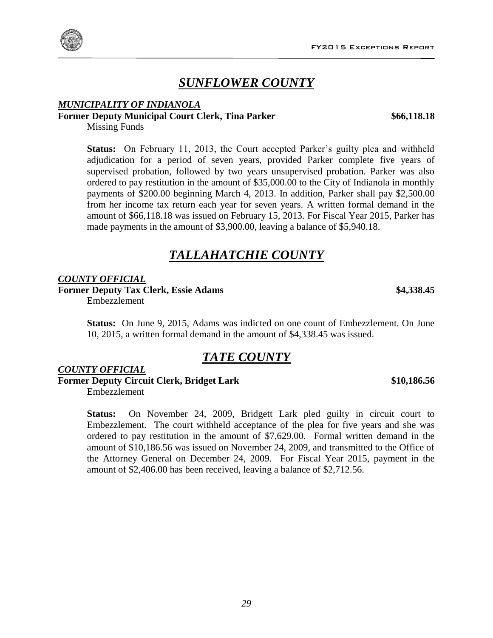## *SUNFLOWER COUNTY*

#### *MUNICIPALITY OF INDIANOLA*

#### **Former Deputy Municipal Court Clerk, Tina Parker \$66,118.18**

Missing Funds

**Status:** On February 11, 2013, the Court accepted Parker's guilty plea and withheld adjudication for a period of seven years, provided Parker complete five years of supervised probation, followed by two years unsupervised probation. Parker was also ordered to pay restitution in the amount of \$35,000.00 to the City of Indianola in monthly payments of \$200.00 beginning March 4, 2013. In addition, Parker shall pay \$2,500.00 from her income tax return each year for seven years. A written formal demand in the amount of \$66,118.18 was issued on February 15, 2013. For Fiscal Year 2015, Parker has made payments in the amount of \$3,900.00, leaving a balance of \$5,940.18.

## *TALLAHATCHIE COUNTY*

#### *COUNTY OFFICIAL*

**Former Deputy Tax Clerk, Essie Adams \$4,338.45** Embezzlement

**Status:** On June 9, 2015, Adams was indicted on one count of Embezzlement. On June 10, 2015, a written formal demand in the amount of \$4,338.45 was issued.

## *TATE COUNTY*

#### *COUNTY OFFICIAL*

#### **Former Deputy Circuit Clerk, Bridget Lark \$10,186.56**

Embezzlement

**Status:** On November 24, 2009, Bridgett Lark pled guilty in circuit court to Embezzlement. The court withheld acceptance of the plea for five years and she was ordered to pay restitution in the amount of \$7,629.00. Formal written demand in the amount of \$10,186.56 was issued on November 24, 2009, and transmitted to the Office of the Attorney General on December 24, 2009. For Fiscal Year 2015, payment in the amount of \$2,406.00 has been received, leaving a balance of \$2,712.56.

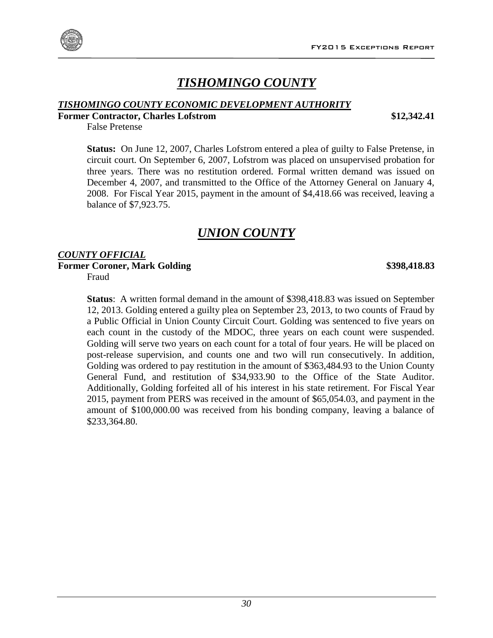

## *TISHOMINGO COUNTY*

#### *TISHOMINGO COUNTY ECONOMIC DEVELOPMENT AUTHORITY*

Former Contractor, Charles Lofstrom  $$12,342.41$ 

False Pretense

**Status:** On June 12, 2007, Charles Lofstrom entered a plea of guilty to False Pretense, in circuit court. On September 6, 2007, Lofstrom was placed on unsupervised probation for three years. There was no restitution ordered. Formal written demand was issued on December 4, 2007, and transmitted to the Office of the Attorney General on January 4, 2008. For Fiscal Year 2015, payment in the amount of \$4,418.66 was received, leaving a balance of \$7,923.75.

## *UNION COUNTY*

#### *COUNTY OFFICIAL* **Former Coroner, Mark Golding**   $$398,418.83$ Fraud

**Status**: A written formal demand in the amount of \$398,418.83 was issued on September 12, 2013. Golding entered a guilty plea on September 23, 2013, to two counts of Fraud by a Public Official in Union County Circuit Court. Golding was sentenced to five years on each count in the custody of the MDOC, three years on each count were suspended. Golding will serve two years on each count for a total of four years. He will be placed on post-release supervision, and counts one and two will run consecutively. In addition, Golding was ordered to pay restitution in the amount of \$363,484.93 to the Union County General Fund, and restitution of \$34,933.90 to the Office of the State Auditor. Additionally, Golding forfeited all of his interest in his state retirement. For Fiscal Year 2015, payment from PERS was received in the amount of \$65,054.03, and payment in the amount of \$100,000.00 was received from his bonding company, leaving a balance of \$233,364.80.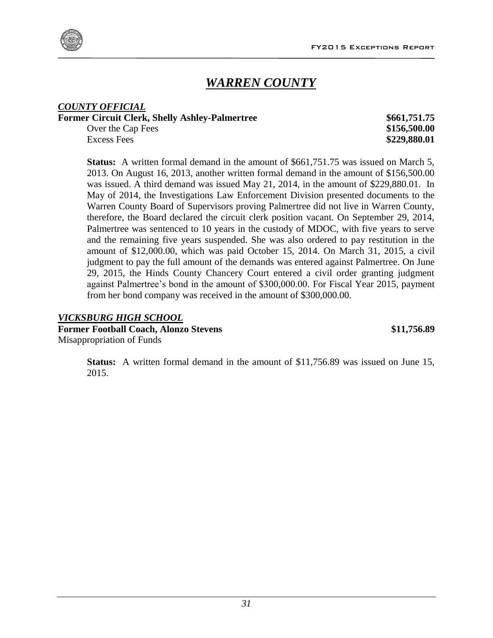

## *WARREN COUNTY*

#### *COUNTY OFFICIAL* **Former Circuit Clerk, Shelly Ashley-Palmertree**  $$661,751.75$ Over the Cap Fees **\$156,500.00 \$156,500.00**

Excess Fees **\$229,880.01**

**Status:** A written formal demand in the amount of \$661,751.75 was issued on March 5, 2013. On August 16, 2013, another written formal demand in the amount of \$156,500.00 was issued. A third demand was issued May 21, 2014, in the amount of \$229,880.01. In May of 2014, the Investigations Law Enforcement Division presented documents to the Warren County Board of Supervisors proving Palmertree did not live in Warren County, therefore, the Board declared the circuit clerk position vacant. On September 29, 2014, Palmertree was sentenced to 10 years in the custody of MDOC, with five years to serve and the remaining five years suspended. She was also ordered to pay restitution in the amount of \$12,000.00, which was paid October 15, 2014. On March 31, 2015, a civil judgment to pay the full amount of the demands was entered against Palmertree. On June 29, 2015, the Hinds County Chancery Court entered a civil order granting judgment against Palmertree's bond in the amount of \$300,000.00. For Fiscal Year 2015, payment from her bond company was received in the amount of \$300,000.00.

#### *VICKSBURG HIGH SCHOOL*

**Former Football Coach, Alonzo Stevens \$11,756.89** Misappropriation of Funds

**Status:** A written formal demand in the amount of \$11,756.89 was issued on June 15, 2015.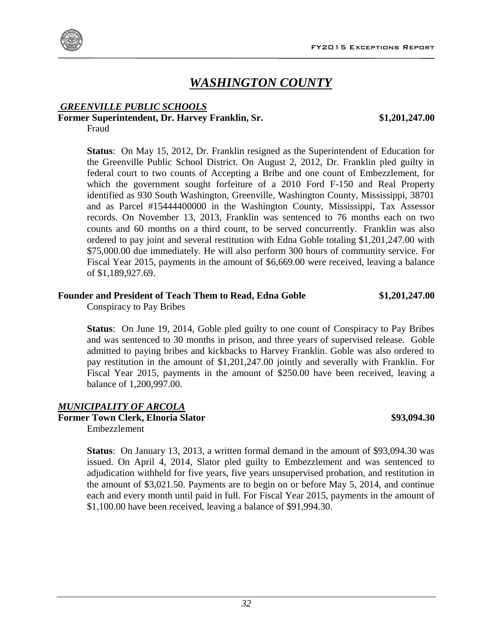

## *WASHINGTON COUNTY*

#### *GREENVILLE PUBLIC SCHOOLS*

### **Former Superintendent, Dr. Harvey Franklin, Sr. \$1,201,247.00**

Fraud

**Status**: On May 15, 2012, Dr. Franklin resigned as the Superintendent of Education for the Greenville Public School District. On August 2, 2012, Dr. Franklin pled guilty in federal court to two counts of Accepting a Bribe and one count of Embezzlement, for which the government sought forfeiture of a 2010 Ford F-150 and Real Property identified as 930 South Washington, Greenville, Washington County, Mississippi, 38701 and as Parcel #15444400000 in the Washington County, Mississippi, Tax Assessor records. On November 13, 2013, Franklin was sentenced to 76 months each on two counts and 60 months on a third count, to be served concurrently. Franklin was also ordered to pay joint and several restitution with Edna Goble totaling \$1,201,247.00 with \$75,000.00 due immediately. He will also perform 300 hours of community service. For Fiscal Year 2015, payments in the amount of \$6,669.00 were received, leaving a balance of \$1,189,927.69.

#### **Founder and President of Teach Them to Read, Edna Goble \$1,201,247.00**

Conspiracy to Pay Bribes

**Status**: On June 19, 2014, Goble pled guilty to one count of Conspiracy to Pay Bribes and was sentenced to 30 months in prison, and three years of supervised release. Goble admitted to paying bribes and kickbacks to Harvey Franklin. Goble was also ordered to pay restitution in the amount of \$1,201,247.00 jointly and severally with Franklin. For Fiscal Year 2015, payments in the amount of \$250.00 have been received, leaving a balance of 1,200,997.00.

#### *MUNICIPALITY OF ARCOLA*

#### **Former Town Clerk, Elnoria Slator 693,094.30**

Embezzlement

**Status**: On January 13, 2013, a written formal demand in the amount of \$93,094.30 was issued. On April 4, 2014, Slator pled guilty to Embezzlement and was sentenced to adjudication withheld for five years, five years unsupervised probation, and restitution in the amount of \$3,021.50. Payments are to begin on or before May 5, 2014, and continue each and every month until paid in full. For Fiscal Year 2015, payments in the amount of \$1,100.00 have been received, leaving a balance of \$91,994.30.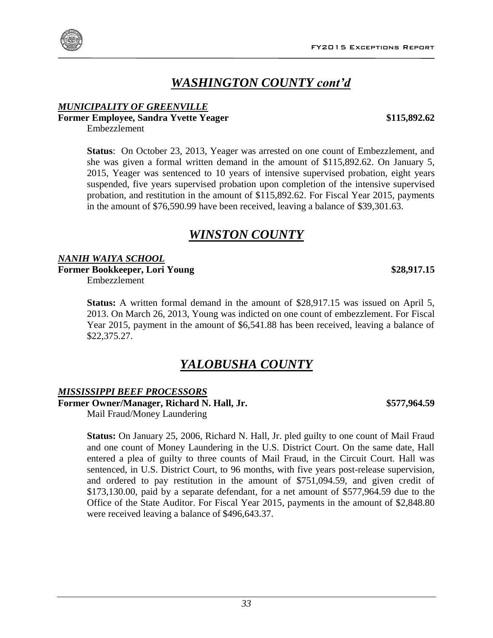## *WASHINGTON COUNTY cont'd*

### *MUNICIPALITY OF GREENVILLE*

**Former Employee, Sandra Yvette Yeager \$115,892.62**

Embezzlement

**Status**: On October 23, 2013, Yeager was arrested on one count of Embezzlement, and she was given a formal written demand in the amount of \$115,892.62. On January 5, 2015, Yeager was sentenced to 10 years of intensive supervised probation, eight years suspended, five years supervised probation upon completion of the intensive supervised probation, and restitution in the amount of \$115,892.62. For Fiscal Year 2015, payments in the amount of \$76,590.99 have been received, leaving a balance of \$39,301.63.

## *WINSTON COUNTY*

#### *NANIH WAIYA SCHOOL* **Former Bookkeeper, Lori Young \$28,917.15**

Embezzlement

**Status:** A written formal demand in the amount of \$28,917.15 was issued on April 5, 2013. On March 26, 2013, Young was indicted on one count of embezzlement. For Fiscal Year 2015, payment in the amount of \$6,541.88 has been received, leaving a balance of \$22,375.27.

## *YALOBUSHA COUNTY*

### *MISSISSIPPI BEEF PROCESSORS*

**Former Owner/Manager, Richard N. Hall, Jr. \$577,964.59**

Mail Fraud/Money Laundering

**Status:** On January 25, 2006, Richard N. Hall, Jr. pled guilty to one count of Mail Fraud and one count of Money Laundering in the U.S. District Court. On the same date, Hall entered a plea of guilty to three counts of Mail Fraud, in the Circuit Court. Hall was sentenced, in U.S. District Court, to 96 months, with five years post-release supervision, and ordered to pay restitution in the amount of \$751,094.59, and given credit of \$173,130.00, paid by a separate defendant, for a net amount of \$577,964.59 due to the Office of the State Auditor. For Fiscal Year 2015, payments in the amount of \$2,848.80 were received leaving a balance of \$496,643.37.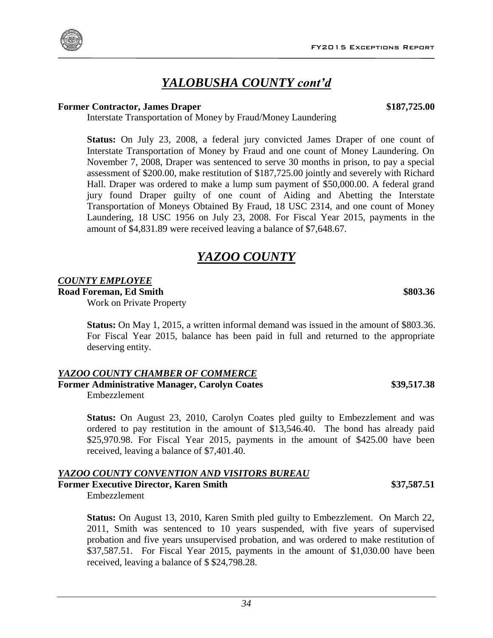## *YALOBUSHA COUNTY cont'd*

#### **Former Contractor, James Draper 1992. 187,725.00**

Interstate Transportation of Money by Fraud/Money Laundering

**Status:** On July 23, 2008, a federal jury convicted James Draper of one count of Interstate Transportation of Money by Fraud and one count of Money Laundering. On November 7, 2008, Draper was sentenced to serve 30 months in prison, to pay a special assessment of \$200.00, make restitution of \$187,725.00 jointly and severely with Richard Hall. Draper was ordered to make a lump sum payment of \$50,000.00. A federal grand jury found Draper guilty of one count of Aiding and Abetting the Interstate Transportation of Moneys Obtained By Fraud, 18 USC 2314, and one count of Money Laundering, 18 USC 1956 on July 23, 2008. For Fiscal Year 2015, payments in the amount of \$4,831.89 were received leaving a balance of \$7,648.67.

## *YAZOO COUNTY*

#### *COUNTY EMPLOYEE*

#### **Road Foreman, Ed Smith \$803.36**

Work on Private Property

**Status:** On May 1, 2015, a written informal demand was issued in the amount of \$803.36. For Fiscal Year 2015, balance has been paid in full and returned to the appropriate deserving entity.

#### *YAZOO COUNTY CHAMBER OF COMMERCE*

**Former Administrative Manager, Carolyn Coates \$39,517.38** Embezzlement

**Status:** On August 23, 2010, Carolyn Coates pled guilty to Embezzlement and was ordered to pay restitution in the amount of \$13,546.40. The bond has already paid \$25,970.98. For Fiscal Year 2015, payments in the amount of \$425.00 have been received, leaving a balance of \$7,401.40.

#### *YAZOO COUNTY CONVENTION AND VISITORS BUREAU*

#### **Former Executive Director, Karen Smith 537,587.51**

Embezzlement

**Status:** On August 13, 2010, Karen Smith pled guilty to Embezzlement. On March 22, 2011, Smith was sentenced to 10 years suspended, with five years of supervised probation and five years unsupervised probation, and was ordered to make restitution of \$37,587.51. For Fiscal Year 2015, payments in the amount of \$1,030.00 have been received, leaving a balance of \$ \$24,798.28.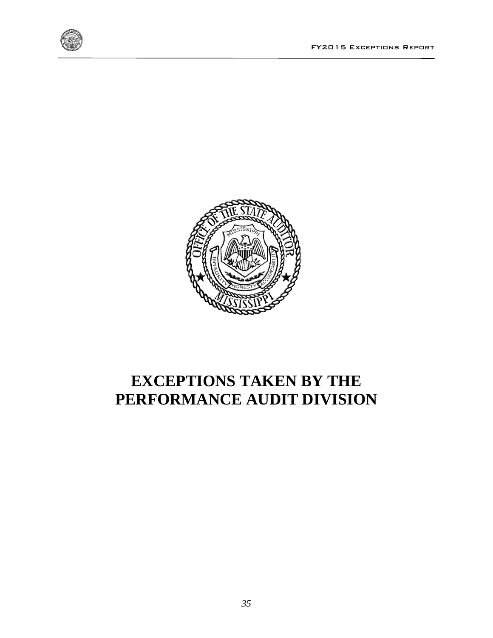



## **EXCEPTIONS TAKEN BY THE PERFORMANCE AUDIT DIVISION**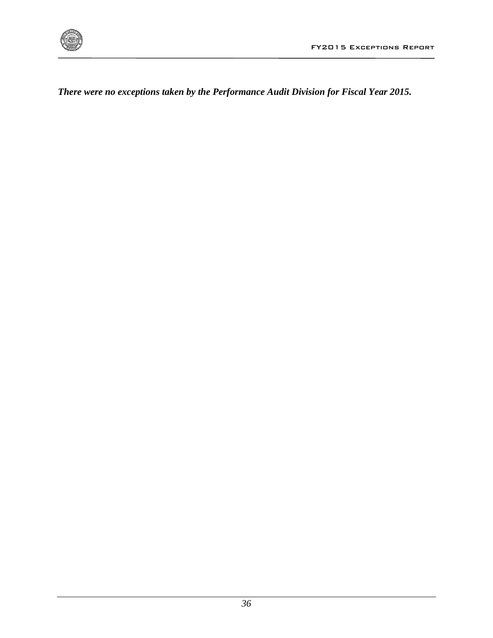

*There were no exceptions taken by the Performance Audit Division for Fiscal Year 2015.*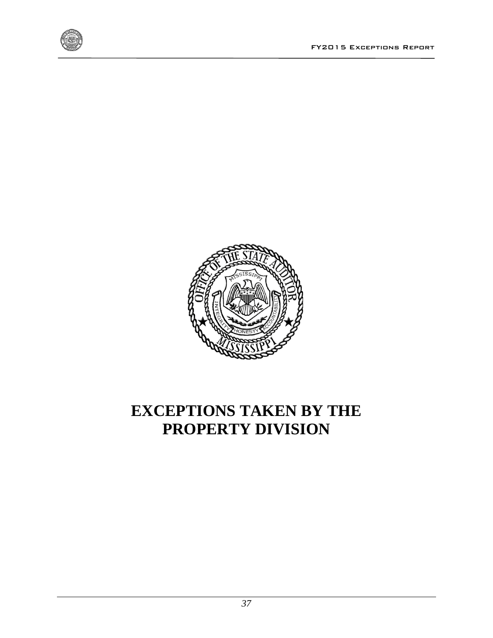



## **EXCEPTIONS TAKEN BY THE PROPERTY DIVISION**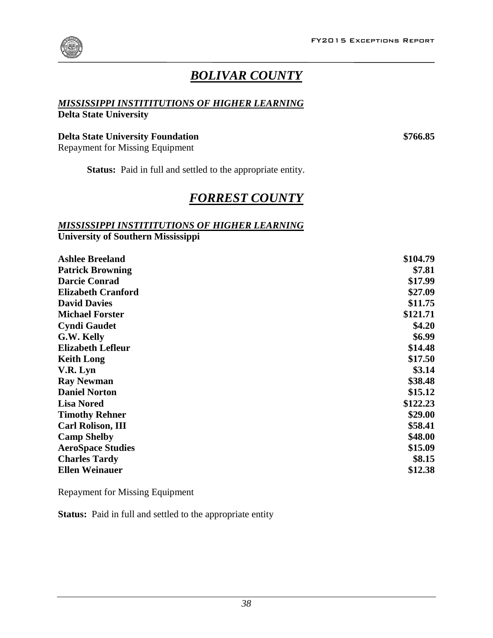

## *BOLIVAR COUNTY*

#### *MISSISSIPPI INSTITITUTIONS OF HIGHER LEARNING*

**Delta State University**

#### **Delta State University Foundation \$766.85**

Repayment for Missing Equipment

Status: Paid in full and settled to the appropriate entity.

## *FORREST COUNTY*

#### *MISSISSIPPI INSTITITUTIONS OF HIGHER LEARNING*

**University of Southern Mississippi**

| <b>Ashlee Breeland</b>    | \$104.79 |
|---------------------------|----------|
| <b>Patrick Browning</b>   | \$7.81   |
| <b>Darcie Conrad</b>      | \$17.99  |
| <b>Elizabeth Cranford</b> | \$27.09  |
| <b>David Davies</b>       | \$11.75  |
| <b>Michael Forster</b>    | \$121.71 |
| <b>Cyndi Gaudet</b>       | \$4.20   |
| G.W. Kelly                | \$6.99   |
| <b>Elizabeth Lefleur</b>  | \$14.48  |
| <b>Keith Long</b>         | \$17.50  |
| V.R. Lyn                  | \$3.14   |
| <b>Ray Newman</b>         | \$38.48  |
| <b>Daniel Norton</b>      | \$15.12  |
| <b>Lisa Nored</b>         | \$122.23 |
| <b>Timothy Rehner</b>     | \$29.00  |
| <b>Carl Rolison, III</b>  | \$58.41  |
| <b>Camp Shelby</b>        | \$48.00  |
| <b>AeroSpace Studies</b>  | \$15.09  |
| <b>Charles Tardy</b>      | \$8.15   |
| <b>Ellen Weinauer</b>     | \$12.38  |

Repayment for Missing Equipment

Status: Paid in full and settled to the appropriate entity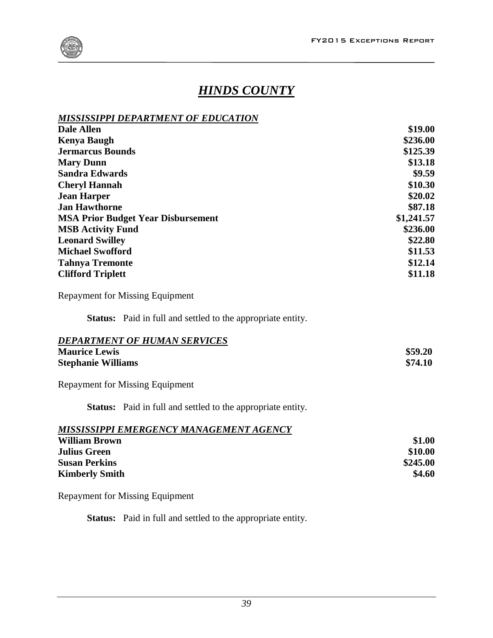

## *HINDS COUNTY*

### *MISSISSIPPI DEPARTMENT OF EDUCATION*

| <b>Dale Allen</b>                                                  | \$19.00    |
|--------------------------------------------------------------------|------------|
| <b>Kenya Baugh</b>                                                 | \$236.00   |
| <b>Jermarcus Bounds</b>                                            | \$125.39   |
| <b>Mary Dunn</b>                                                   | \$13.18    |
| <b>Sandra Edwards</b>                                              | \$9.59     |
| <b>Cheryl Hannah</b>                                               | \$10.30    |
| <b>Jean Harper</b>                                                 | \$20.02    |
| <b>Jan Hawthorne</b>                                               | \$87.18    |
| <b>MSA Prior Budget Year Disbursement</b>                          | \$1,241.57 |
| <b>MSB Activity Fund</b>                                           | \$236.00   |
| <b>Leonard Swilley</b>                                             | \$22.80    |
| <b>Michael Swofford</b>                                            | \$11.53    |
| <b>Tahnya Tremonte</b>                                             | \$12.14    |
| <b>Clifford Triplett</b>                                           | \$11.18    |
| <b>Repayment for Missing Equipment</b>                             |            |
| <b>Status:</b> Paid in full and settled to the appropriate entity. |            |
| <b>DEPARTMENT OF HUMAN SERVICES</b>                                |            |
| <b>Maurice Lewis</b>                                               | \$59.20    |
| <b>Stephanie Williams</b>                                          | \$74.10    |
| <b>Repayment for Missing Equipment</b>                             |            |
| <b>Status:</b> Paid in full and settled to the appropriate entity. |            |
| MISSISSIPPI EMERGENCY MANAGEMENT AGENCY                            |            |
| <b>William Brown</b>                                               | \$1.00     |
| <b>Julius Green</b>                                                | \$10.00    |
| <b>Susan Perkins</b>                                               | \$245.00   |
| <b>Kimberly Smith</b>                                              | \$4.60     |
| <b>Repayment for Missing Equipment</b>                             |            |

**Status:** Paid in full and settled to the appropriate entity.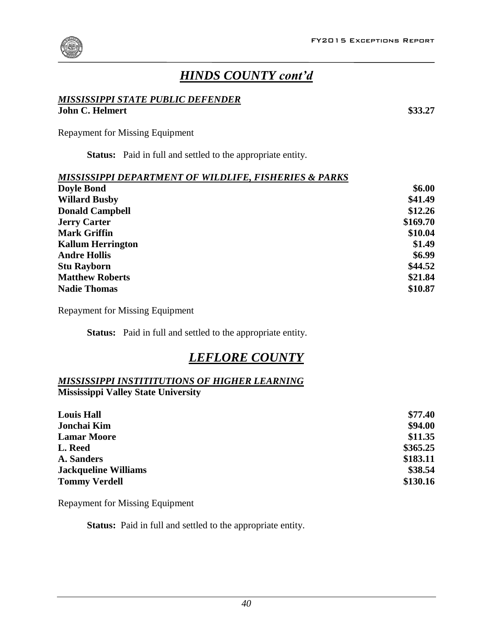

## *HINDS COUNTY cont'd*

#### *MISSISSIPPI STATE PUBLIC DEFENDER* **John C. Helmert \$33.27**

Repayment for Missing Equipment

**Status:** Paid in full and settled to the appropriate entity.

#### *MISSISSIPPI DEPARTMENT OF WILDLIFE, FISHERIES & PARKS*

| <b>Doyle Bond</b>        | \$6.00   |
|--------------------------|----------|
| <b>Willard Busby</b>     | \$41.49  |
| <b>Donald Campbell</b>   | \$12.26  |
| <b>Jerry Carter</b>      | \$169.70 |
| <b>Mark Griffin</b>      | \$10.04  |
| <b>Kallum Herrington</b> | \$1.49   |
| <b>Andre Hollis</b>      | \$6.99   |
| <b>Stu Rayborn</b>       | \$44.52  |
| <b>Matthew Roberts</b>   | \$21.84  |
| <b>Nadie Thomas</b>      | \$10.87  |

Repayment for Missing Equipment

**Status:** Paid in full and settled to the appropriate entity.

## *LEFLORE COUNTY*

## *MISSISSIPPI INSTITITUTIONS OF HIGHER LEARNING*

**Mississippi Valley State University**

| <b>Louis Hall</b>           | \$77.40  |
|-----------------------------|----------|
| Jonchai Kim                 | \$94.00  |
| <b>Lamar Moore</b>          | \$11.35  |
| L. Reed                     | \$365.25 |
| A. Sanders                  | \$183.11 |
| <b>Jackqueline Williams</b> | \$38.54  |
| <b>Tommy Verdell</b>        | \$130.16 |

Repayment for Missing Equipment

**Status:** Paid in full and settled to the appropriate entity.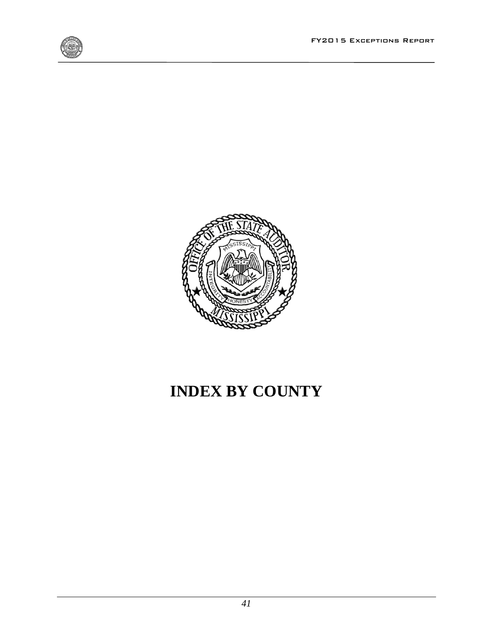





## **INDEX BY COUNTY**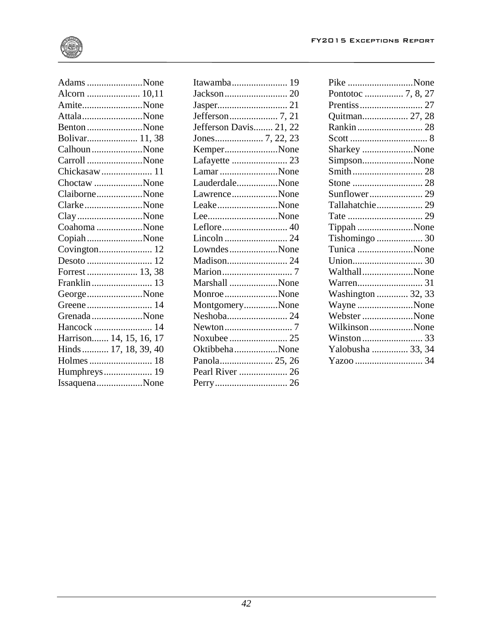

| Adams None              |  |
|-------------------------|--|
|                         |  |
| AmiteNone               |  |
| AttalaNone              |  |
| Benton None             |  |
| Bolivar 11,38           |  |
| Calhoun None            |  |
| Carroll None            |  |
| Chickasaw 11            |  |
| Choctaw None            |  |
| ClaiborneNone           |  |
| ClarkeNone              |  |
| $Clay$ None             |  |
| Coahoma None            |  |
| CopiahNone              |  |
|                         |  |
| Desoto  12              |  |
|                         |  |
|                         |  |
| GeorgeNone              |  |
|                         |  |
| Grenada None            |  |
| Hancock  14             |  |
| Harrison 14, 15, 16, 17 |  |
| Hinds  17, 18, 39, 40   |  |
|                         |  |
| Humphreys 19            |  |
| IssaquenaNone           |  |

| Jefferson Davis 21, 22 |
|------------------------|
|                        |
| KemperNone             |
|                        |
| Lamar None             |
| LauderdaleNone         |
| LawrenceNone           |
| LeakeNone              |
| LeeNone                |
|                        |
|                        |
| LowndesNone            |
|                        |
|                        |
| Marshall None          |
| MonroeNone             |
| MontgomeryNone         |
|                        |
|                        |
|                        |
| OktibbehaNone          |
|                        |
|                        |
|                        |

| Pike None          |  |
|--------------------|--|
|                    |  |
|                    |  |
| Quitman 27, 28     |  |
|                    |  |
|                    |  |
| Sharkey None       |  |
| SimpsonNone        |  |
|                    |  |
|                    |  |
|                    |  |
| Tallahatchie 29    |  |
|                    |  |
| Tippah None        |  |
| Tishomingo  30     |  |
| Tunica None        |  |
|                    |  |
| WalthallNone       |  |
|                    |  |
| Washington  32, 33 |  |
| Wayne None         |  |
| Webster None       |  |
| WilkinsonNone      |  |
|                    |  |
| Yalobusha  33, 34  |  |
|                    |  |
|                    |  |